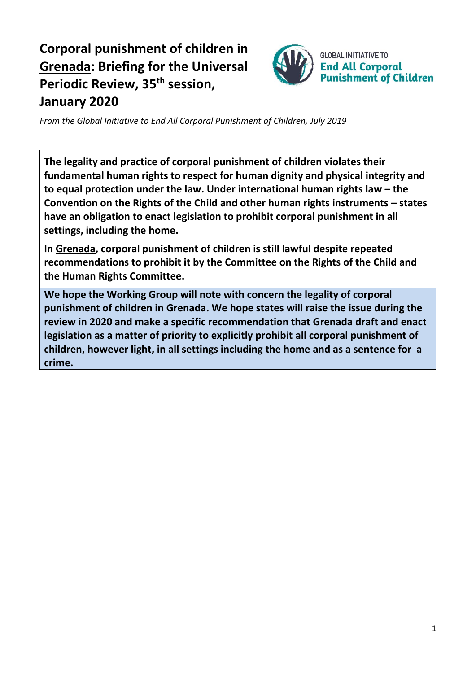# **Corporal punishment of children in Grenada: Briefing for the Universal Periodic Review, 35 th session, January 2020**



*From the Global Initiative to End All Corporal Punishment of Children, July 2019*

**The legality and practice of corporal punishment of children violates their fundamental human rights to respect for human dignity and physical integrity and to equal protection under the law. Under international human rights law – the Convention on the Rights of the Child and other human rights instruments – states have an obligation to enact legislation to prohibit corporal punishment in all settings, including the home.**

**In Grenada, corporal punishment of children is still lawful despite repeated recommendations to prohibit it by the Committee on the Rights of the Child and the Human Rights Committee.**

**We hope the Working Group will note with concern the legality of corporal punishment of children in Grenada. We hope states will raise the issue during the review in 2020 and make a specific recommendation that Grenada draft and enact legislation as a matter of priority to explicitly prohibit all corporal punishment of children, however light, in all settings including the home and as a sentence for a crime.**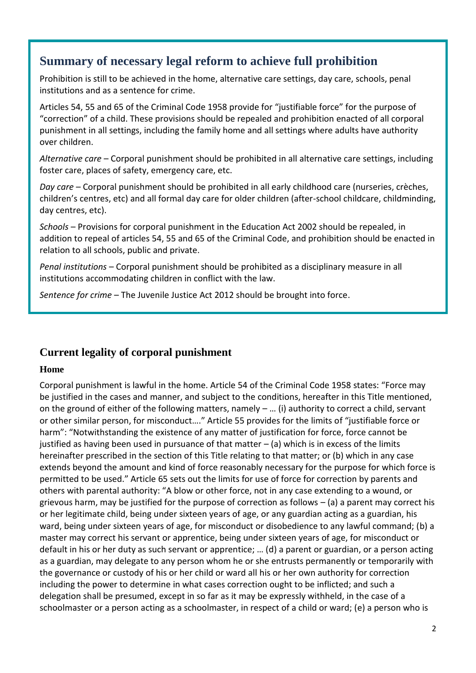# **Summary of necessary legal reform to achieve full prohibition**

Prohibition is still to be achieved in the home, alternative care settings, day care, schools, penal institutions and as a sentence for crime.

Articles 54, 55 and 65 of the Criminal Code 1958 provide for "justifiable force" for the purpose of "correction" of a child. These provisions should be repealed and prohibition enacted of all corporal punishment in all settings, including the family home and all settings where adults have authority over children.

*Alternative care* – Corporal punishment should be prohibited in all alternative care settings, including foster care, places of safety, emergency care, etc.

*Day care* – Corporal punishment should be prohibited in all early childhood care (nurseries, crèches, children's centres, etc) and all formal day care for older children (after-school childcare, childminding, day centres, etc).

*Schools* – Provisions for corporal punishment in the Education Act 2002 should be repealed, in addition to repeal of articles 54, 55 and 65 of the Criminal Code, and prohibition should be enacted in relation to all schools, public and private.

*Penal institutions* – Corporal punishment should be prohibited as a disciplinary measure in all institutions accommodating children in conflict with the law.

*Sentence for crime* – The Juvenile Justice Act 2012 should be brought into force.

# **Current legality of corporal punishment**

#### **Home**

Corporal punishment is lawful in the home. Article 54 of the Criminal Code 1958 states: "Force may be justified in the cases and manner, and subject to the conditions, hereafter in this Title mentioned, on the ground of either of the following matters, namely – … (i) authority to correct a child, servant or other similar person, for misconduct…." Article 55 provides for the limits of "justifiable force or harm": "Notwithstanding the existence of any matter of justification for force, force cannot be justified as having been used in pursuance of that matter  $-$  (a) which is in excess of the limits hereinafter prescribed in the section of this Title relating to that matter; or (b) which in any case extends beyond the amount and kind of force reasonably necessary for the purpose for which force is permitted to be used." Article 65 sets out the limits for use of force for correction by parents and others with parental authority: "A blow or other force, not in any case extending to a wound, or grievous harm, may be justified for the purpose of correction as follows – (a) a parent may correct his or her legitimate child, being under sixteen years of age, or any guardian acting as a guardian, his ward, being under sixteen years of age, for misconduct or disobedience to any lawful command; (b) a master may correct his servant or apprentice, being under sixteen years of age, for misconduct or default in his or her duty as such servant or apprentice; … (d) a parent or guardian, or a person acting as a guardian, may delegate to any person whom he or she entrusts permanently or temporarily with the governance or custody of his or her child or ward all his or her own authority for correction including the power to determine in what cases correction ought to be inflicted; and such a delegation shall be presumed, except in so far as it may be expressly withheld, in the case of a schoolmaster or a person acting as a schoolmaster, in respect of a child or ward; (e) a person who is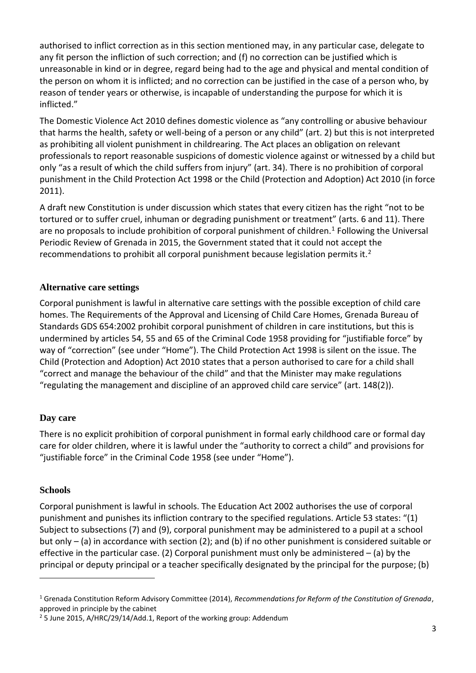authorised to inflict correction as in this section mentioned may, in any particular case, delegate to any fit person the infliction of such correction; and (f) no correction can be justified which is unreasonable in kind or in degree, regard being had to the age and physical and mental condition of the person on whom it is inflicted; and no correction can be justified in the case of a person who, by reason of tender years or otherwise, is incapable of understanding the purpose for which it is inflicted."

The Domestic Violence Act 2010 defines domestic violence as "any controlling or abusive behaviour that harms the health, safety or well-being of a person or any child" (art. 2) but this is not interpreted as prohibiting all violent punishment in childrearing. The Act places an obligation on relevant professionals to report reasonable suspicions of domestic violence against or witnessed by a child but only "as a result of which the child suffers from injury" (art. 34). There is no prohibition of corporal punishment in the Child Protection Act 1998 or the Child (Protection and Adoption) Act 2010 (in force 2011).

A draft new Constitution is under discussion which states that every citizen has the right "not to be tortured or to suffer cruel, inhuman or degrading punishment or treatment" (arts. 6 and 11). There are no proposals to include prohibition of corporal punishment of children.<sup>1</sup> Following the Universal Periodic Review of Grenada in 2015, the Government stated that it could not accept the recommendations to prohibit all corporal punishment because legislation permits it.<sup>2</sup>

#### **Alternative care settings**

Corporal punishment is lawful in alternative care settings with the possible exception of child care homes. The Requirements of the Approval and Licensing of Child Care Homes, Grenada Bureau of Standards GDS 654:2002 prohibit corporal punishment of children in care institutions, but this is undermined by articles 54, 55 and 65 of the Criminal Code 1958 providing for "justifiable force" by way of "correction" (see under "Home"). The Child Protection Act 1998 is silent on the issue. The Child (Protection and Adoption) Act 2010 states that a person authorised to care for a child shall "correct and manage the behaviour of the child" and that the Minister may make regulations "regulating the management and discipline of an approved child care service" (art. 148(2)).

#### **Day care**

There is no explicit prohibition of corporal punishment in formal early childhood care or formal day care for older children, where it is lawful under the "authority to correct a child" and provisions for "justifiable force" in the Criminal Code 1958 (see under "Home").

#### **Schools**

 $\overline{a}$ 

Corporal punishment is lawful in schools. The Education Act 2002 authorises the use of corporal punishment and punishes its infliction contrary to the specified regulations. Article 53 states: "(1) Subject to subsections (7) and (9), corporal punishment may be administered to a pupil at a school but only – (a) in accordance with section (2); and (b) if no other punishment is considered suitable or effective in the particular case. (2) Corporal punishment must only be administered  $-$  (a) by the principal or deputy principal or a teacher specifically designated by the principal for the purpose; (b)

<sup>1</sup> Grenada Constitution Reform Advisory Committee (2014), *Recommendations for Reform of the Constitution of Grenada*, approved in principle by the cabinet

<sup>2</sup> 5 June 2015, A/HRC/29/14/Add.1, Report of the working group: Addendum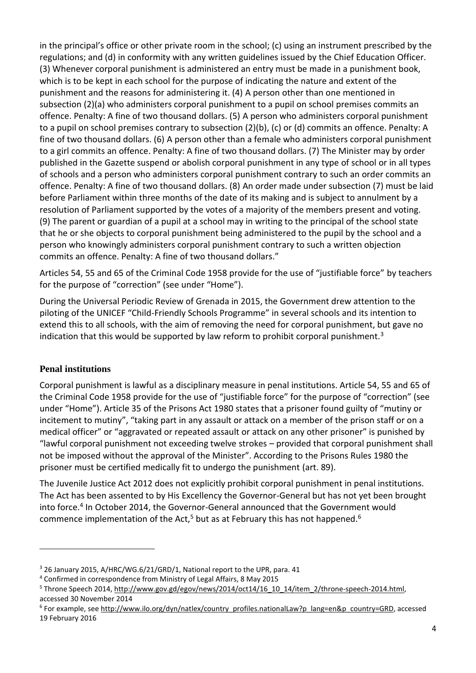in the principal's office or other private room in the school; (c) using an instrument prescribed by the regulations; and (d) in conformity with any written guidelines issued by the Chief Education Officer. (3) Whenever corporal punishment is administered an entry must be made in a punishment book, which is to be kept in each school for the purpose of indicating the nature and extent of the punishment and the reasons for administering it. (4) A person other than one mentioned in subsection (2)(a) who administers corporal punishment to a pupil on school premises commits an offence. Penalty: A fine of two thousand dollars. (5) A person who administers corporal punishment to a pupil on school premises contrary to subsection (2)(b), (c) or (d) commits an offence. Penalty: A fine of two thousand dollars. (6) A person other than a female who administers corporal punishment to a girl commits an offence. Penalty: A fine of two thousand dollars. (7) The Minister may by order published in the Gazette suspend or abolish corporal punishment in any type of school or in all types of schools and a person who administers corporal punishment contrary to such an order commits an offence. Penalty: A fine of two thousand dollars. (8) An order made under subsection (7) must be laid before Parliament within three months of the date of its making and is subject to annulment by a resolution of Parliament supported by the votes of a majority of the members present and voting. (9) The parent or guardian of a pupil at a school may in writing to the principal of the school state that he or she objects to corporal punishment being administered to the pupil by the school and a person who knowingly administers corporal punishment contrary to such a written objection commits an offence. Penalty: A fine of two thousand dollars."

Articles 54, 55 and 65 of the Criminal Code 1958 provide for the use of "justifiable force" by teachers for the purpose of "correction" (see under "Home").

During the Universal Periodic Review of Grenada in 2015, the Government drew attention to the piloting of the UNICEF "Child-Friendly Schools Programme" in several schools and its intention to extend this to all schools, with the aim of removing the need for corporal punishment, but gave no indication that this would be supported by law reform to prohibit corporal punishment.<sup>3</sup>

#### **Penal institutions**

 $\overline{a}$ 

Corporal punishment is lawful as a disciplinary measure in penal institutions. Article 54, 55 and 65 of the Criminal Code 1958 provide for the use of "justifiable force" for the purpose of "correction" (see under "Home"). Article 35 of the Prisons Act 1980 states that a prisoner found guilty of "mutiny or incitement to mutiny", "taking part in any assault or attack on a member of the prison staff or on a medical officer" or "aggravated or repeated assault or attack on any other prisoner" is punished by "lawful corporal punishment not exceeding twelve strokes – provided that corporal punishment shall not be imposed without the approval of the Minister". According to the Prisons Rules 1980 the prisoner must be certified medically fit to undergo the punishment (art. 89).

The Juvenile Justice Act 2012 does not explicitly prohibit corporal punishment in penal institutions. The Act has been assented to by His Excellency the Governor-General but has not yet been brought into force.<sup>4</sup> In October 2014, the Governor-General announced that the Government would commence implementation of the Act,<sup>5</sup> but as at February this has not happened.<sup>6</sup>

<sup>3</sup> 26 January 2015, A/HRC/WG.6/21/GRD/1, National report to the UPR, para. 41

<sup>4</sup> Confirmed in correspondence from Ministry of Legal Affairs, 8 May 2015

<sup>&</sup>lt;sup>5</sup> Throne Speech 2014, [http://www.gov.gd/egov/news/2014/oct14/16\\_10\\_14/item\\_2/throne-speech-2014.html,](http://www.gov.gd/egov/news/2014/oct14/16_10_14/item_2/throne-speech-2014.html) accessed 30 November 2014

<sup>&</sup>lt;sup>6</sup> For example, see [http://www.ilo.org/dyn/natlex/country\\_profiles.nationalLaw?p\\_lang=en&p\\_country=GRD,](http://www.ilo.org/dyn/natlex/country_profiles.nationalLaw?p_lang=en&p_country=GRD) accessed 19 February 2016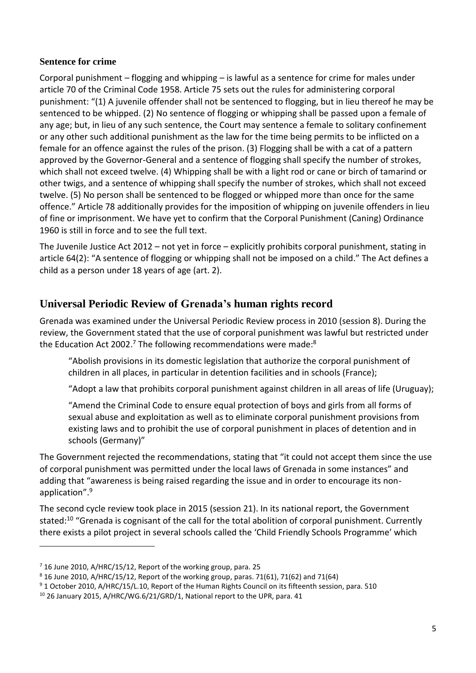#### **Sentence for crime**

Corporal punishment  $-$  flogging and whipping  $-$  is lawful as a sentence for crime for males under article 70 of the Criminal Code 1958. Article 75 sets out the rules for administering corporal punishment: "(1) A juvenile offender shall not be sentenced to flogging, but in lieu thereof he may be sentenced to be whipped. (2) No sentence of flogging or whipping shall be passed upon a female of any age; but, in lieu of any such sentence, the Court may sentence a female to solitary confinement or any other such additional punishment as the law for the time being permits to be inflicted on a female for an offence against the rules of the prison. (3) Flogging shall be with a cat of a pattern approved by the Governor-General and a sentence of flogging shall specify the number of strokes, which shall not exceed twelve. (4) Whipping shall be with a light rod or cane or birch of tamarind or other twigs, and a sentence of whipping shall specify the number of strokes, which shall not exceed twelve. (5) No person shall be sentenced to be flogged or whipped more than once for the same offence." Article 78 additionally provides for the imposition of whipping on juvenile offenders in lieu of fine or imprisonment. We have yet to confirm that the Corporal Punishment (Caning) Ordinance 1960 is still in force and to see the full text.

The Juvenile Justice Act 2012 – not yet in force – explicitly prohibits corporal punishment, stating in article 64(2): "A sentence of flogging or whipping shall not be imposed on a child." The Act defines a child as a person under 18 years of age (art. 2).

# **Universal Periodic Review of Grenada's human rights record**

Grenada was examined under the Universal Periodic Review process in 2010 (session 8). During the review, the Government stated that the use of corporal punishment was lawful but restricted under the Education Act 2002.<sup>7</sup> The following recommendations were made:<sup>8</sup>

"Abolish provisions in its domestic legislation that authorize the corporal punishment of children in all places, in particular in detention facilities and in schools (France);

"Adopt a law that prohibits corporal punishment against children in all areas of life (Uruguay);

"Amend the Criminal Code to ensure equal protection of boys and girls from all forms of sexual abuse and exploitation as well as to eliminate corporal punishment provisions from existing laws and to prohibit the use of corporal punishment in places of detention and in schools (Germany)"

The Government rejected the recommendations, stating that "it could not accept them since the use of corporal punishment was permitted under the local laws of Grenada in some instances" and adding that "awareness is being raised regarding the issue and in order to encourage its nonapplication".<sup>9</sup>

The second cycle review took place in 2015 (session 21). In its national report, the Government stated:<sup>10</sup> "Grenada is cognisant of the call for the total abolition of corporal punishment. Currently there exists a pilot project in several schools called the 'Child Friendly Schools Programme' which

 $\overline{a}$ 

<sup>7</sup> 16 June 2010, A/HRC/15/12, Report of the working group, para. 25

 $8$  16 June 2010, A/HRC/15/12, Report of the working group, paras. 71(61), 71(62) and 71(64)

<sup>9</sup> 1 October 2010, A/HRC/15/L.10, Report of the Human Rights Council on its fifteenth session, para. 510

<sup>&</sup>lt;sup>10</sup> 26 January 2015, A/HRC/WG.6/21/GRD/1, National report to the UPR, para. 41